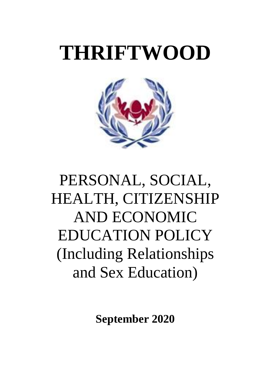# **THRIFTWOOD**



# PERSONAL, SOCIAL, HEALTH, CITIZENSHIP AND ECONOMIC EDUCATION POLICY (Including Relationships and Sex Education)

**September 2020**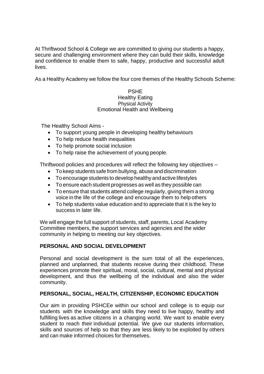At Thriftwood School & College we are committed to giving our students a happy, secure and challenging environment where they can build their skills, knowledge and confidence to enable them to safe, happy, productive and successful adult lives.

As a Healthy Academy we follow the four core themes of the Healthy Schools Scheme:

#### PSHE Healthy Eating Physical Activity Emotional Health and Wellbeing

The Healthy School Aims -

- To support young people in developing healthy behaviours
- To help reduce health inequalities
- To help promote social inclusion
- To help raise the achievement of young people.

Thriftwood policies and procedures will reflect the following key objectives –

- To keep students safe from bullying, abuse and discrimination
- To encourage students to develop healthy andactive lifestyles
- To ensure each student progresses as well as they possible can
- To ensure that students attend college regularly, giving them a strong voice in the life of the college and encourage them to help others
- To help students value education and to appreciate that it is the key to success in later life.

We will engage the full support of students, staff, parents, Local Academy Committee members, the support services and agencies and the wider community in helping to meeting our key objectives.

# **PERSONAL AND SOCIAL DEVELOPMENT**

Personal and social development is the sum total of all the experiences, planned and unplanned, that students receive during their childhood. These experiences promote their spiritual, moral, social, cultural, mental and physical development, and thus the wellbeing of the individual and also the wider community.

# **PERSONAL, SOCIAL, HEALTH, CITIZENSHIP, ECONOMIC EDUCATION**

Our aim in providing PSHCEe within our school and college is to equip our students with the knowledge and skills they need to live happy, healthy and fulfilling lives as active citizens in a changing world. We want to enable every student to reach their individual potential. We give our students information, skills and sources of help so that they are less likely to be exploited by others and can make informed choices for themselves.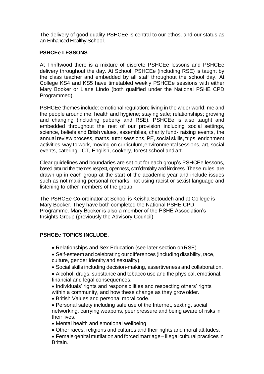The delivery of good quality PSHCEe is central to our ethos, and our status as an Enhanced Healthy School.

#### **PSHCEe LESSONS**

At Thriftwood there is a mixture of discrete PSHCEe lessons and PSHCEe delivery throughout the day. At School, PSHCEe (including RSE) is taught by the class teacher and embedded by all staff throughout the school day. At College KS4 and KS5 have timetabled weekly PSHCEe sessions with either Mary Booker or Liane Lindo (both qualified under the National PSHE CPD Programmed).

PSHCEe themes include: emotional regulation; living in the wider world; me and the people around me; health and hygiene; staying safe; relationships; growing and changing (including puberty and RSE). PSHCEe is also taught and embedded throughout the rest of our provision including social settings, science, beliefs and British values, assemblies, charity fund- raising events, the annual review process, maths, tutor sessions, PE, social skills, trips, enrichment activities,way to work, moving on curriculum,environmentalsessions, art, social events, catering, ICT, English, cookery, forest school and art.

Clear guidelines and boundaries are set out for each group's PSHCEe lessons, based around the themes respect, openness, confidentiality and kindness. These rules are drawn up in each group at the start of the academic year and include issues such as not making personal remarks, not using racist or sexist language and listening to other members of the group.

The PSHCEe Co-ordinator at School is Keisha Setoudeh and at College is Mary Booker. They have both completed the National PSHE CPD Programme. Mary Booker is also a member of the PSHE Association's Insights Group (previously the Advisory Council).

# **PSHCEe TOPICS INCLUDE**:

- Relationships and Sex Education (see later section onRSE)
- Self-esteem and celebrating our differences (including disability, race, culture, gender identity and sexuality).
- Social skills including decision-making, assertiveness and collaboration.
- Alcohol, drugs, substance and tobacco use and the physical, emotional, financial and legal consequences.
- Individuals' rights and responsibilities and respecting others' rights within a community, and how these change as they grow older.
- British Values and personal moral code.
- Personal safety including safe use of the Internet, sexting, social networking, carrying weapons, peer pressure and being aware of risks in their lives.
- Mental health and emotional wellbeing
- Other races, religions and cultures and their rights and moral attitudes.
- Female genital mutilation and forced marriage illegal cultural practices in Britain.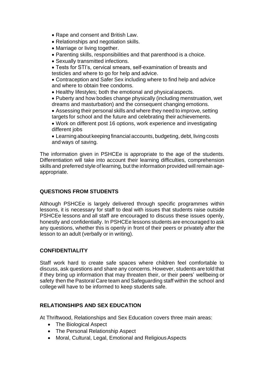- Rape and consent and British Law.
- Relationships and negotiation skills.
- Marriage or living together.
- Parenting skills, responsibilities and that parenthood is a choice.
- Sexually transmitted infections.
- Tests for STI's, cervical smears, self-examination of breasts and testicles and where to go for help and advice.

• Contraception and Safer Sex including where to find help and advice and where to obtain free condoms.

• Healthy lifestyles; both the emotional and physical aspects.

• Puberty and how bodies change physically (including menstruation, wet dreams and masturbation) and the consequent changing emotions.

- Assessing their personal skills and where they need to improve, setting targets for school and the future and celebrating their achievements.
- Work on different post 16 options, work experience and investigating different *jobs*
- Learning about keeping financial accounts, budgeting, debt, living costs and ways of saving.

The information given in PSHCEe is appropriate to the age of the students. Differentiation will take into account their learning difficulties, comprehension skillsand preferred style of learning, but the information provided will remain ageappropriate.

# **QUESTIONS FROM STUDENTS**

Although PSHCEe is largely delivered through specific programmes within lessons, it is necessary for staff to deal with issues that students raise outside PSHCEe lessons and all staff are encouraged to discuss these issues openly, honestly and confidentially. In PSHCEe lessons students are encouraged to ask any questions, whether this is openly in front of their peers or privately after the lesson to an adult (verbally or in writing).

# **CONFIDENTIALITY**

Staff work hard to create safe spaces where children feel comfortable to discuss, ask questions and share any concerns. However, students are told that if they bring up information that may threaten their, or their peers' wellbeing or safety then the Pastoral Care team and Safeguarding staff within the school and college will have to be informed to keep students safe.

# **RELATIONSHIPS AND SEX EDUCATION**

At Thriftwood, Relationships and Sex Education covers three main areas:

- The Biological Aspect
- The Personal Relationship Aspect
- Moral, Cultural, Legal, Emotional and Religious Aspects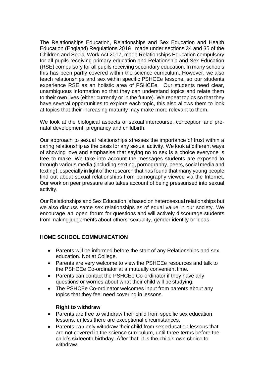The Relationships Education, Relationships and Sex Education and Health Education (England) Regulations 2019 , made under sections 34 and 35 of the Children and Social Work Act 2017, made Relationships Education compulsory for all pupils receiving primary education and Relationship and Sex Education (RSE) compulsory for all pupils receiving secondary education. In many schools this has been partly covered within the science curriculum. However, we also teach relationships and sex within specific PSHCEe lessons, so our students experience RSE as an holistic area of PSHCEe. Our students need clear, unambiguous information so that they can understand topics and relate them to their own lives (either currently or in the future). We repeat topics so that they have several opportunities to explore each topic, this also allows them to look at topics that their increasing maturity may make more relevant to them.

We look at the biological aspects of sexual intercourse, conception and prenatal development, pregnancy and childbirth.

Our approach to sexual relationships stresses the importance of trust within a caring relationship as the basis for any sexual activity. We look at different ways of showing love and emphasise that saying no to sex is a choice everyone is free to make. We take into account the messages students are exposed to through various media (including sexting, pornography, peers, social media and texting), especially in light of the research that has found that many young people find out about sexual relationships from pornography viewed via the Internet. Our work on peer pressure also takes account of being pressurised into sexual activity.

Our Relationships and Sex Education is based on heterosexual relationships but we also discuss same sex relationships as of equal value in our society. We encourage an open forum for questions and will actively discourage students from making judgements about others' sexuality, gender identity or ideas.

# **HOME SCHOOL COMMUNICATION**

- Parents will be informed before the start of any Relationships and sex education. Not at College.
- Parents are very welcome to view the PSHCEe resources and talk to the PSHCEe Co-ordinator at a mutually convenient time.
- Parents can contact the PSHCEe Co-ordinator if they have any questions or worries about what their child will be studying.
- The PSHCEe Co-ordinator welcomes input from parents about any topics that they feel need covering in lessons.

#### **Right to withdraw**

- Parents are free to withdraw their child from specific sex education lessons, unless there are exceptional circumstances.
- Parents can only withdraw their child from sex education lessons that are not covered in the science curriculum, until three terms before the child's sixteenth birthday. After that, it is the child's own choice to withdraw.